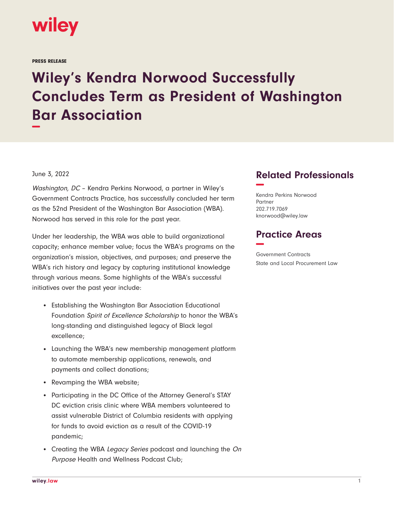

PRESS RELEASE

## **Wiley's Kendra Norwood Successfully Concludes Term as President of Washington Bar Association −**

## June 3, 2022

Washington, DC – Kendra Perkins Norwood, a partner in Wiley's Government Contracts Practice, has successfully concluded her term as the 52nd President of the Washington Bar Association (WBA). Norwood has served in this role for the past year.

Under her leadership, the WBA was able to build organizational capacity; enhance member value; focus the WBA's programs on the organization's mission, objectives, and purposes; and preserve the WBA's rich history and legacy by capturing institutional knowledge through various means. Some highlights of the WBA's successful initiatives over the past year include:

- Establishing the Washington Bar Association Educational Foundation Spirit of Excellence Scholarship to honor the WBA's long-standing and distinguished legacy of Black legal excellence;
- Launching the WBA's new membership management platform to automate membership applications, renewals, and payments and collect donations;
- Revamping the WBA website;
- Participating in the DC Office of the Attorney General's STAY DC eviction crisis clinic where WBA members volunteered to assist vulnerable District of Columbia residents with applying for funds to avoid eviction as a result of the COVID-19 pandemic;
- Creating the WBA Legacy Series podcast and launching the On Purpose Health and Wellness Podcast Club;

## **Related Professionals −**

Kendra Perkins Norwood Partner 202.719.7069 knorwood@wiley.law

## **Practice Areas −**

Government Contracts State and Local Procurement Law